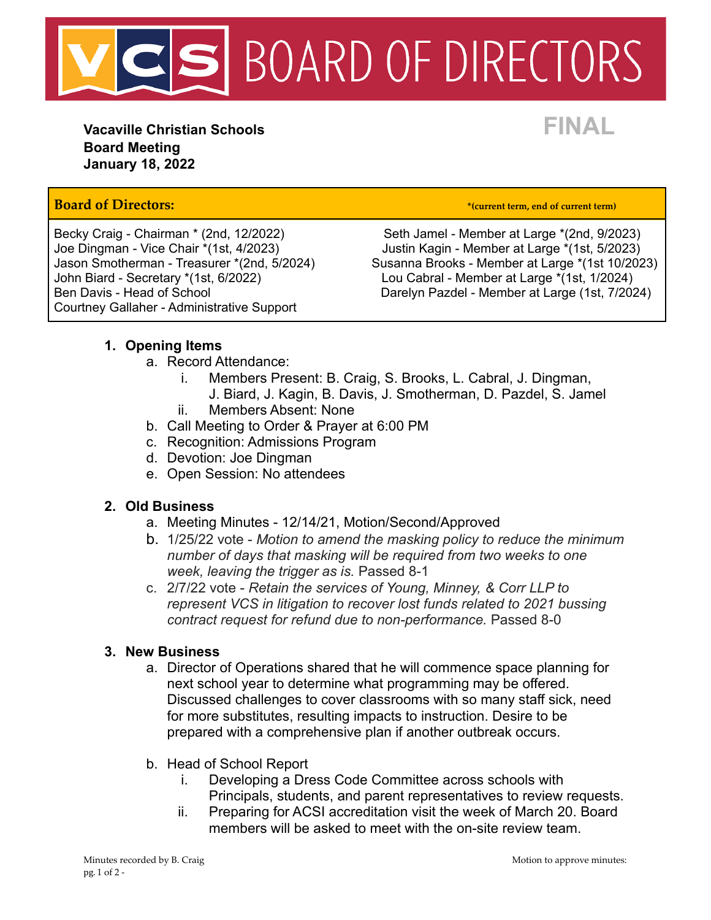

**Vacaville Christian Schools FINAL Board Meeting January 18, 2022**

## **Board of Directors: \*(current term, end of current term)**

John Biard - Secretary \*(1st, 6/2022) Lou Cabral - Member at Large \*(1st, 1/2024) Courtney Gallaher - Administrative Support

Becky Craig - Chairman \* (2nd, 12/2022) Seth Jamel - Member at Large \* (2nd, 9/2023) Joe Dingman - Vice Chair \*(1st, 4/2023)<br>Jason Smotherman - Treasurer \*(2nd, 5/2024) Susanna Brooks - Member at Large \*(1st 10/202 Susanna Brooks - Member at Large \*(1st 10/2023) Ben Davis - Head of School **Darelyn Pazdel - Member at Large (1st, 7/2024)** 

### **1. Opening Items**

- a. Record Attendance:
	- i. Members Present: B. Craig, S. Brooks, L. Cabral, J. Dingman,
	- J. Biard, J. Kagin, B. Davis, J. Smotherman, D. Pazdel, S. Jamel ii. Members Absent: None
- b. Call Meeting to Order & Prayer at 6:00 PM
- c. Recognition: Admissions Program
- d. Devotion: Joe Dingman
- e. Open Session: No attendees

#### **2. Old Business**

- a. Meeting Minutes 12/14/21, Motion/Second/Approved
- b. 1/25/22 vote *Motion to amend the masking policy to reduce the minimum number of days that masking will be required from two weeks to one week, leaving the trigger as is.* Passed 8-1
- c. 2/7/22 vote *Retain the services of Young, Minney, & Corr LLP to represent VCS in litigation to recover lost funds related to 2021 bussing contract request for refund due to non-performance.* Passed 8-0

#### **3. New Business**

- a. Director of Operations shared that he will commence space planning for next school year to determine what programming may be offered. Discussed challenges to cover classrooms with so many staff sick, need for more substitutes, resulting impacts to instruction. Desire to be prepared with a comprehensive plan if another outbreak occurs.
- b. Head of School Report
	- i. Developing a Dress Code Committee across schools with Principals, students, and parent representatives to review requests.
	- ii. Preparing for ACSI accreditation visit the week of March 20. Board members will be asked to meet with the on-site review team.